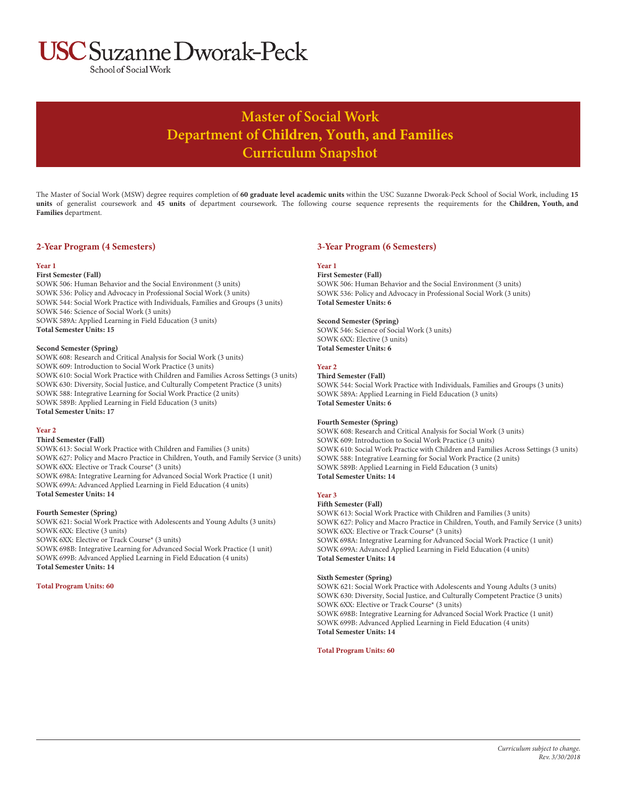# **ISC** Suzanne Dworak-Peck

School of Social Work

# **Master of Social Work Department of Children, Youth, and Families Curriculum Snapshot**

The Master of Social Work (MSW) degree requires completion of **60 graduate level academic units** within the USC Suzanne Dworak-Peck School of Social Work, including **15 units** of generalist coursework and **45 units** of department coursework. The following course sequence represents the requirements for the **Children, Youth, and Families** department.

# **2-Year Program (4 Semesters)**

#### **Year 1**

#### **First Semester (Fall)**

SOWK 506: Human Behavior and the Social Environment (3 units) SOWK 536: Policy and Advocacy in Professional Social Work (3 units) SOWK 544: Social Work Practice with Individuals, Families and Groups (3 units) SOWK 546: Science of Social Work (3 units) SOWK 589A: Applied Learning in Field Education (3 units) **Total Semester Units: 15**

#### **Second Semester (Spring)**

SOWK 608: Research and Critical Analysis for Social Work (3 units) SOWK 609: Introduction to Social Work Practice (3 units) SOWK 610: Social Work Practice with Children and Families Across Settings (3 units) SOWK 630: Diversity, Social Justice, and Culturally Competent Practice (3 units) SOWK 588: Integrative Learning for Social Work Practice (2 units) SOWK 589B: Applied Learning in Field Education (3 units) **Total Semester Units: 17**

#### **Year 2**

#### **Third Semester (Fall)**

SOWK 613: Social Work Practice with Children and Families (3 units) SOWK 627: Policy and Macro Practice in Children, Youth, and Family Service (3 units) SOWK 6XX: Elective or Track Course\* (3 units) SOWK 698A: Integrative Learning for Advanced Social Work Practice (1 unit) SOWK 699A: Advanced Applied Learning in Field Education (4 units) **Total Semester Units: 14**

#### **Fourth Semester (Spring)**

SOWK 621: Social Work Practice with Adolescents and Young Adults (3 units) SOWK 6XX: Elective (3 units) SOWK 6XX: Elective or Track Course\* (3 units) SOWK 698B: Integrative Learning for Advanced Social Work Practice (1 unit) SOWK 699B: Advanced Applied Learning in Field Education (4 units) **Total Semester Units: 14**

#### **Total Program Units: 60**

# **3-Year Program (6 Semesters)**

# **Year 1**

**First Semester (Fall)**

SOWK 506: Human Behavior and the Social Environment (3 units) SOWK 536: Policy and Advocacy in Professional Social Work (3 units) **Total Semester Units: 6**

## **Second Semester (Spring)**

SOWK 546: Science of Social Work (3 units) SOWK 6XX: Elective (3 units) **Total Semester Units: 6**

## **Year 2**

**Third Semester (Fall)**

SOWK 544: Social Work Practice with Individuals, Families and Groups (3 units) SOWK 589A: Applied Learning in Field Education (3 units) **Total Semester Units: 6**

## **Fourth Semester (Spring)**

SOWK 608: Research and Critical Analysis for Social Work (3 units) SOWK 609: Introduction to Social Work Practice (3 units) SOWK 610: Social Work Practice with Children and Families Across Settings (3 units) SOWK 588: Integrative Learning for Social Work Practice (2 units) SOWK 589B: Applied Learning in Field Education (3 units) **Total Semester Units: 14**

## **Year 3**

#### **Fifth Semester (Fall)**

SOWK 613: Social Work Practice with Children and Families (3 units) SOWK 627: Policy and Macro Practice in Children, Youth, and Family Service (3 units) SOWK 6XX: Elective or Track Course\* (3 units) SOWK 698A: Integrative Learning for Advanced Social Work Practice (1 unit) SOWK 699A: Advanced Applied Learning in Field Education (4 units) **Total Semester Units: 14**

#### **Sixth Semester (Spring)**

SOWK 621: Social Work Practice with Adolescents and Young Adults (3 units) SOWK 630: Diversity, Social Justice, and Culturally Competent Practice (3 units) SOWK 6XX: Elective or Track Course\* (3 units) SOWK 698B: Integrative Learning for Advanced Social Work Practice (1 unit) SOWK 699B: Advanced Applied Learning in Field Education (4 units) **Total Semester Units: 14**

**Total Program Units: 60**